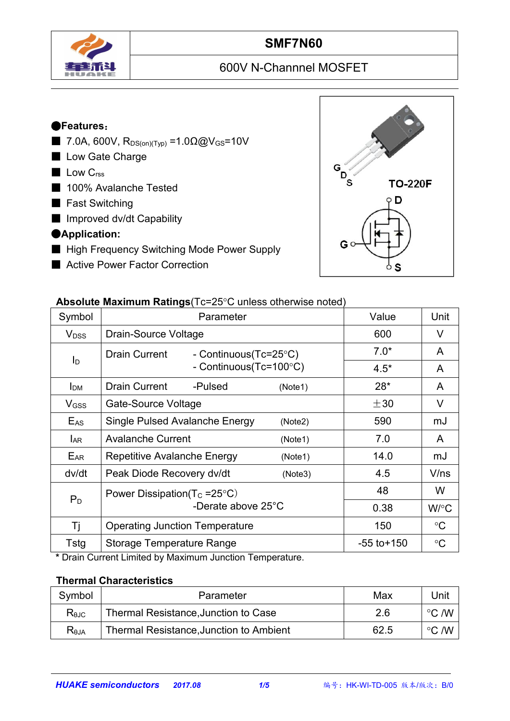

## **SMF7N60**

# 600V N-Channnel MOSFET

#### ●**Features**:

- $7.0A, 600V, R<sub>DS(on)(Typ)</sub> = 1.0Ω@V<sub>GS</sub>=10V$
- Low Gate Charge
- Low C<sub>rss</sub>
- 100% Avalanche Tested
- Fast Switching
- Improved dv/dt Capability
- ●**Application:**
- High Frequency Switching Mode Power Supply
- Active Power Factor Correction



#### **Absolute Maximum Ratings**(Tc=25°C unless otherwise noted)

| Symbol                  | Parameter                                     | Value           | Unit               |
|-------------------------|-----------------------------------------------|-----------------|--------------------|
| <b>V</b> <sub>DSS</sub> | <b>Drain-Source Voltage</b>                   | 600             | $\vee$             |
| I <sub>D</sub>          | <b>Drain Current</b><br>- Continuous(Tc=25°C) | $7.0*$          | A                  |
|                         | - Continuous(Tc=100°C)                        | $4.5*$          | A                  |
| I <sub>DM</sub>         | Drain Current<br>-Pulsed<br>(Note1)           | $28*$           | $\mathsf{A}$       |
| V <sub>GSS</sub>        | Gate-Source Voltage                           | $\pm 30$        | V                  |
| $E_{AS}$                | Single Pulsed Avalanche Energy<br>(Note2)     | 590             | mJ                 |
| <b>LAR</b>              | <b>Avalanche Current</b><br>(Note1)           | 7.0             | $\mathsf{A}$       |
| E <sub>AR</sub>         | <b>Repetitive Avalanche Energy</b><br>(Note1) | 14.0            | mJ                 |
| dv/dt                   | Peak Diode Recovery dv/dt<br>(Note3)          | 4.5             | V/ns               |
| $P_D$                   | Power Dissipation( $T_c = 25^{\circ}C$ )      | 48              | W                  |
|                         | -Derate above 25°C                            | 0.38            | $W$ <sup>o</sup> C |
| Τj                      | <b>Operating Junction Temperature</b>         | 150             | $\rm ^{\circ}C$    |
| Tstg                    | <b>Storage Temperature Range</b>              | $-55$ to $+150$ | $\rm ^{\circ}C$    |
|                         |                                               |                 |                    |

**\*** Drain Current Limited by Maximum Junction Temperature.

#### **Thermal Characteristics**

| Symbol         | Parameter                               | Max  | Unit            |  |
|----------------|-----------------------------------------|------|-----------------|--|
| $R_{\theta$ JC | Thermal Resistance, Junction to Case    | 2.6  | /W<br>$\circ$   |  |
| Reja           | Thermal Resistance, Junction to Ambient | 62.5 | . /W<br>$\circ$ |  |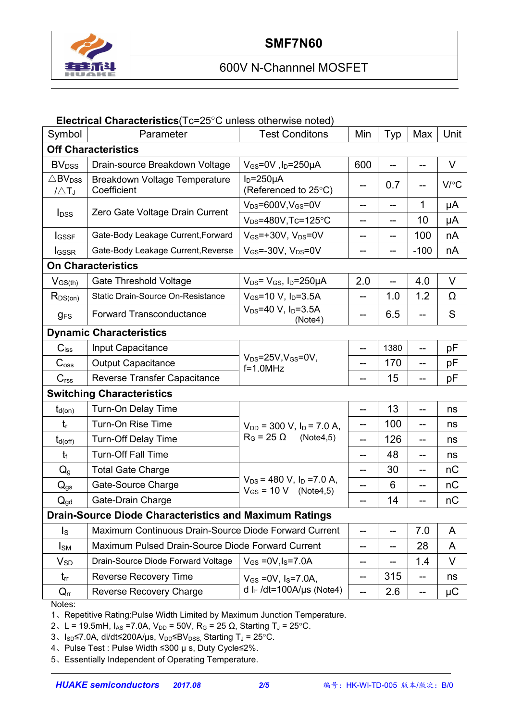

## 600V N-Channnel MOSFET

#### **Electrical Characteristics**(Tc=25°C unless otherwise noted)

| Symbol                                             | Parameter                                                     | <b>Test Conditons</b>                                        | Min               | Typ   | Max    | Unit    |  |
|----------------------------------------------------|---------------------------------------------------------------|--------------------------------------------------------------|-------------------|-------|--------|---------|--|
|                                                    | <b>Off Characteristics</b>                                    |                                                              |                   |       |        |         |  |
| <b>BV</b> <sub>DSS</sub>                           | Drain-source Breakdown Voltage                                | $V_{GS}$ =0V, $I_D$ =250µA                                   | 600               |       | --     | V       |  |
| $\triangle$ BV <sub>DSS</sub><br>$1/\triangle T_J$ | Breakdown Voltage Temperature<br>Coefficient                  | $ID=250µA$<br>(Referenced to 25°C)                           | $- -$             | 0.7   |        | V/C     |  |
|                                                    | Zero Gate Voltage Drain Current                               | $V_{DS} = 600V$ , $V_{GS} = 0V$                              | --                | ——    | 1      | μA      |  |
| $I_{DSS}$                                          |                                                               | $V_{DS} = 480V$ , Tc=125°C                                   | --                | --    | 10     | μA      |  |
| <b>I</b> GSSF                                      | Gate-Body Leakage Current, Forward                            | $V_{GS}$ =+30V, $V_{DS}$ =0V                                 | --                | --    | 100    | nA      |  |
| <b>I</b> GSSR                                      | Gate-Body Leakage Current, Reverse                            | $V_{GS} = -30V$ , $V_{DS} = 0V$                              | --                | --    | $-100$ | nA      |  |
|                                                    | <b>On Characteristics</b>                                     |                                                              |                   |       |        |         |  |
| $V_{GS(th)}$                                       | <b>Gate Threshold Voltage</b>                                 | $V_{DS} = V_{GS}$ , $I_D = 250 \mu A$                        | 2.0               |       | 4.0    | $\vee$  |  |
| $R_{DS(on)}$                                       | <b>Static Drain-Source On-Resistance</b>                      | $V_{GS}$ =10 V, $I_D$ =3.5A                                  | $- -$             | 1.0   | 1.2    | Ω       |  |
| <b>gFS</b>                                         | <b>Forward Transconductance</b>                               | $V_{DS} = 40 V$ , $I_D = 3.5A$<br>(Note4)                    | $- -$             | 6.5   |        | S       |  |
|                                                    | <b>Dynamic Characteristics</b>                                |                                                              |                   |       |        |         |  |
| $C$ <sub>iss</sub>                                 | Input Capacitance                                             |                                                              | --                | 1380  |        | pF      |  |
| C <sub>oss</sub>                                   | <b>Output Capacitance</b>                                     | $V_{DS} = 25V, V_{GS} = 0V,$<br>$f=1.0$ MHz                  |                   | 170   |        | рF      |  |
| C <sub>rss</sub>                                   | Reverse Transfer Capacitance                                  |                                                              |                   | 15    |        | рF      |  |
|                                                    | <b>Switching Characteristics</b>                              |                                                              |                   |       |        |         |  |
| $t_{d(on)}$                                        | Turn-On Delay Time                                            |                                                              | --                | 13    |        | ns      |  |
| $t_{r}$                                            | Turn-On Rise Time                                             | $V_{DD}$ = 300 V, $I_D$ = 7.0 A,                             | $-$               | 100   | --     | ns      |  |
| $t_{d(\text{off})}$                                | <b>Turn-Off Delay Time</b>                                    | $R_G$ = 25 $\Omega$<br>(Note4,5)                             | $-$               | 126   | $-$    | ns      |  |
| $t_{\rm f}$                                        | <b>Turn-Off Fall Time</b>                                     |                                                              | --                | 48    | --     | ns      |  |
| $Q_g$                                              | <b>Total Gate Charge</b>                                      |                                                              | --                | 30    | $-$    | nC      |  |
| $Q_{gs}$                                           | Gate-Source Charge                                            | $V_{DS}$ = 480 V, $I_D$ =7.0 A,<br>$V_{GS} = 10 V$ (Note4,5) | --                | 6     | $-$    | nC      |  |
| $Q_{gd}$                                           | Gate-Drain Charge                                             |                                                              | $-$               | 14    | $-$    | nC      |  |
|                                                    | <b>Drain-Source Diode Characteristics and Maximum Ratings</b> |                                                              |                   |       |        |         |  |
| $\mathsf{I}_\mathsf{S}$                            | Maximum Continuous Drain-Source Diode Forward Current         |                                                              | --                | --    | 7.0    | A       |  |
| $I_{SM}$                                           | Maximum Pulsed Drain-Source Diode Forward Current             |                                                              | $- -$             | $- -$ | 28     | A       |  |
| $V_{SD}$                                           | Drain-Source Diode Forward Voltage                            | $V_{GS} = 0V, I_S = 7.0A$                                    | --                | --    | 1.4    | V       |  |
| $t_{rr}$                                           | <b>Reverse Recovery Time</b>                                  | $V_{GS}$ = 0V, $I_S$ = 7.0A,                                 | $\qquad \qquad -$ | 315   | $- -$  | ns      |  |
| $Q_{rr}$                                           | <b>Reverse Recovery Charge</b>                                | d I <sub>F</sub> /dt=100A/µs (Note4)                         | $- -$             | 2.6   | $- -$  | $\mu$ C |  |
|                                                    |                                                               |                                                              |                   |       |        |         |  |

Notes:

1、Repetitive Rating:Pulse Width Limited by Maximum Junction Temperature.

2、L = 19.5mH, I<sub>AS</sub> = 7.0A, V<sub>DD</sub> = 50V, R<sub>G</sub> = 25 Ω, Starting T<sub>J</sub> = 25°C.

3、Isp<7.0A, di/dt≤200A/µs, V<sub>DD</sub>≤BV<sub>DSS,</sub> Starting T<sub>J</sub> = 25°C.

4、Pulse Test : Pulse Width ≤300 µ s, Duty Cycle≤2%.

5、Essentially Independent of Operating Temperature.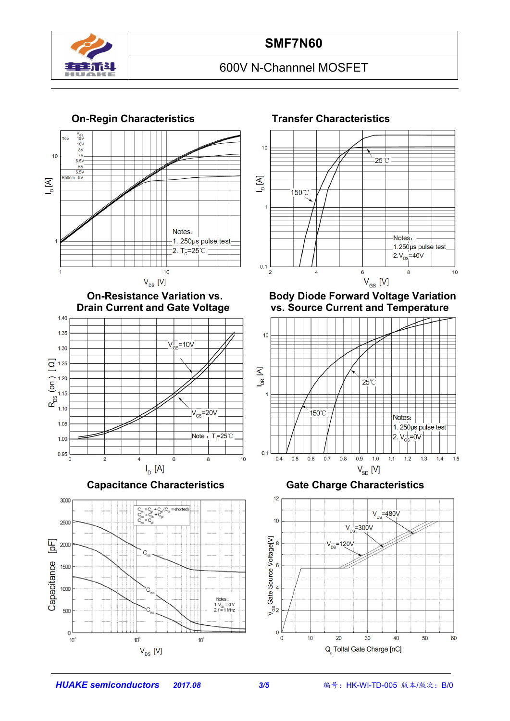

## **SMF7N60**

## 600V N-Channnel MOSFET



#### **On-Regin Characteristics Transfer Characteristics**



**On-Resistance Variation vs. Body Diode Forward Voltage Variation vs.** Source Current and Temperature



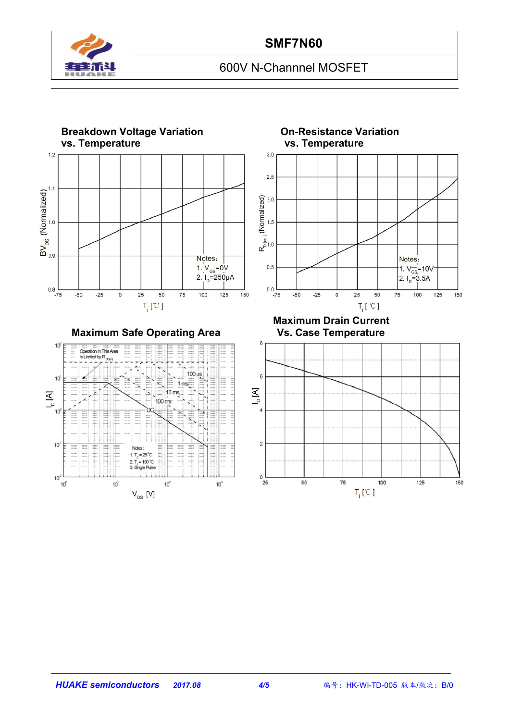

## 600V N-Channnel MOSFET